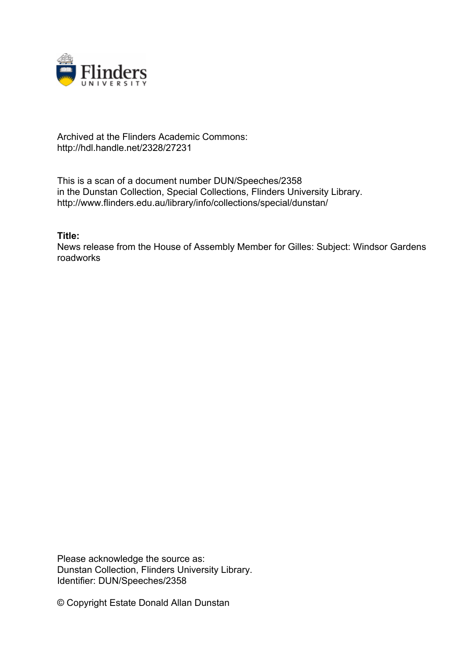

## Archived at the Flinders Academic Commons: http://hdl.handle.net/2328/27231

This is a scan of a document number DUN/Speeches/2358 in the Dunstan Collection, Special Collections, Flinders University Library. http://www.flinders.edu.au/library/info/collections/special/dunstan/

**Title:**

News release from the House of Assembly Member for Gilles: Subject: Windsor Gardens roadworks

Please acknowledge the source as: Dunstan Collection, Flinders University Library. Identifier: DUN/Speeches/2358

© Copyright Estate Donald Allan Dunstan